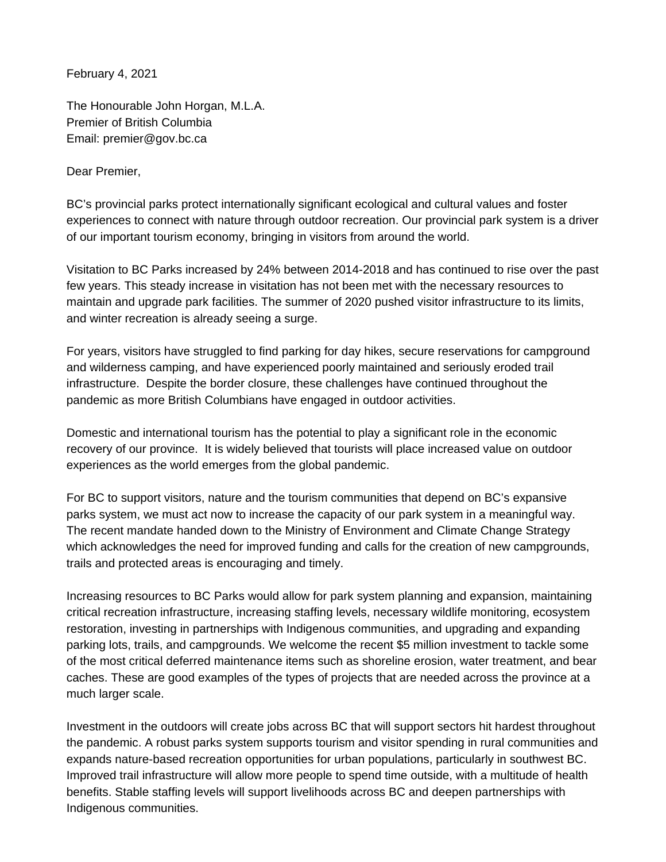February 4, 2021

The Honourable John Horgan, M.L.A. Premier of British Columbia Email: premier@gov.bc.ca

Dear Premier,

BC's provincial parks protect internationally significant ecological and cultural values and foster experiences to connect with nature through outdoor recreation. Our provincial park system is a driver of our important tourism economy, bringing in visitors from around the world.

Visitation to BC Parks increased by 24% between 2014-2018 and has continued to rise over the past few years. This steady increase in visitation has not been met with the necessary resources to maintain and upgrade park facilities. The summer of 2020 pushed visitor infrastructure to its limits, and winter recreation is already seeing a surge.

For years, visitors have struggled to find parking for day hikes, secure reservations for campground and wilderness camping, and have experienced poorly maintained and seriously eroded trail infrastructure. Despite the border closure, these challenges have continued throughout the pandemic as more British Columbians have engaged in outdoor activities.

Domestic and international tourism has the potential to play a significant role in the economic recovery of our province. It is widely believed that tourists will place increased value on outdoor experiences as the world emerges from the global pandemic.

For BC to support visitors, nature and the tourism communities that depend on BC's expansive parks system, we must act now to increase the capacity of our park system in a meaningful way. The recent mandate handed down to the Ministry of Environment and Climate Change Strategy which acknowledges the need for improved funding and calls for the creation of new campgrounds, trails and protected areas is encouraging and timely.

Increasing resources to BC Parks would allow for park system planning and expansion, maintaining critical recreation infrastructure, increasing staffing levels, necessary wildlife monitoring, ecosystem restoration, investing in partnerships with Indigenous communities, and upgrading and expanding parking lots, trails, and campgrounds. We welcome the recent \$5 million investment to tackle some of the most critical deferred maintenance items such as shoreline erosion, water treatment, and bear caches. These are good examples of the types of projects that are needed across the province at a much larger scale.

Investment in the outdoors will create jobs across BC that will support sectors hit hardest throughout the pandemic. A robust parks system supports tourism and visitor spending in rural communities and expands nature-based recreation opportunities for urban populations, particularly in southwest BC. Improved trail infrastructure will allow more people to spend time outside, with a multitude of health benefits. Stable staffing levels will support livelihoods across BC and deepen partnerships with Indigenous communities.